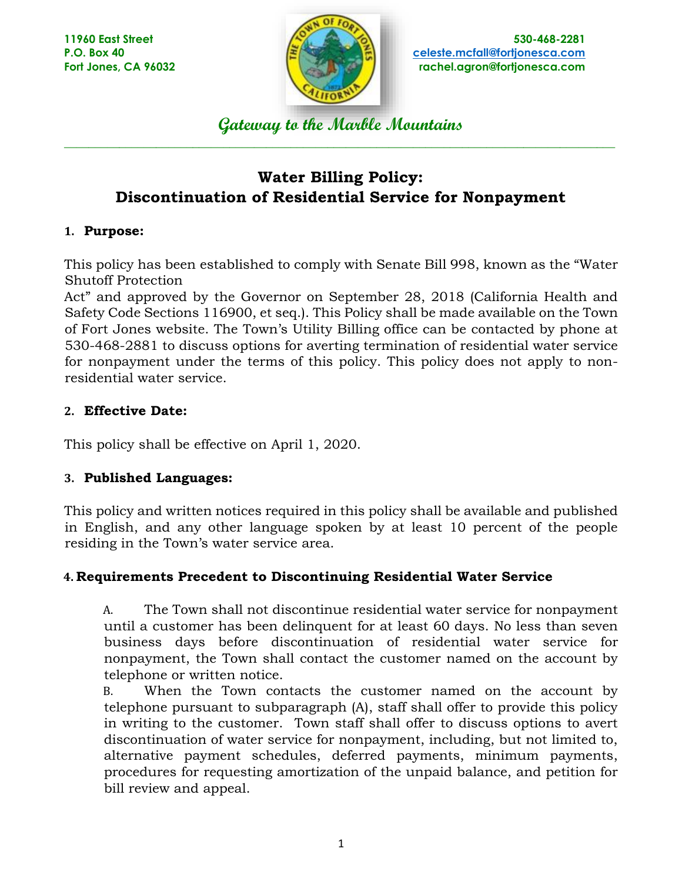

**Gateway to the Marble Mountains**  $\_$  ,  $\_$  ,  $\_$  ,  $\_$  ,  $\_$  ,  $\_$  ,  $\_$  ,  $\_$  ,  $\_$  ,  $\_$  ,  $\_$  ,  $\_$  ,  $\_$  ,  $\_$  ,  $\_$  ,  $\_$  ,  $\_$  ,  $\_$  ,  $\_$  ,  $\_$  ,  $\_$  ,  $\_$  ,  $\_$  ,  $\_$  ,  $\_$  ,  $\_$  ,  $\_$  ,  $\_$  ,  $\_$  ,  $\_$  ,  $\_$  ,  $\_$  ,  $\_$  ,  $\_$  ,  $\_$  ,  $\_$  ,  $\_$  ,

# **Water Billing Policy: Discontinuation of Residential Service for Nonpayment**

### **1. Purpose:**

This policy has been established to comply with Senate Bill 998, known as the "Water Shutoff Protection

Act" and approved by the Governor on September 28, 2018 (California Health and Safety Code Sections 116900, et seq.). This Policy shall be made available on the Town of Fort Jones website. The Town's Utility Billing office can be contacted by phone at 530-468-2881 to discuss options for averting termination of residential water service for nonpayment under the terms of this policy. This policy does not apply to nonresidential water service.

## **2. Effective Date:**

This policy shall be effective on April 1, 2020.

## **3. Published Languages:**

This policy and written notices required in this policy shall be available and published in English, and any other language spoken by at least 10 percent of the people residing in the Town's water service area.

## **4. Requirements Precedent to Discontinuing Residential Water Service**

A. The Town shall not discontinue residential water service for nonpayment until a customer has been delinquent for at least 60 days. No less than seven business days before discontinuation of residential water service for nonpayment, the Town shall contact the customer named on the account by telephone or written notice.

B. When the Town contacts the customer named on the account by telephone pursuant to subparagraph (A), staff shall offer to provide this policy in writing to the customer. Town staff shall offer to discuss options to avert discontinuation of water service for nonpayment, including, but not limited to, alternative payment schedules, deferred payments, minimum payments, procedures for requesting amortization of the unpaid balance, and petition for bill review and appeal.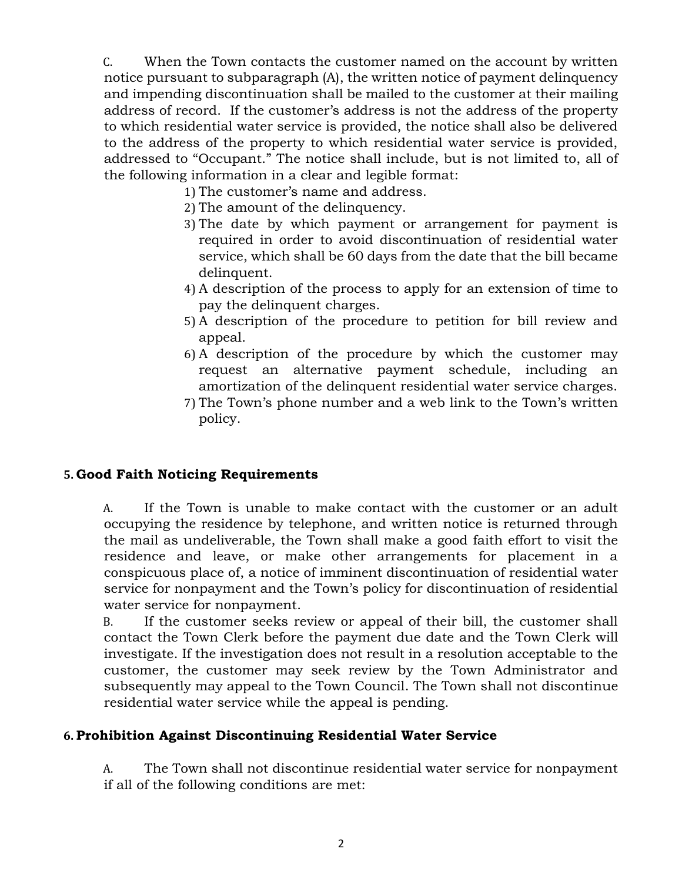C. When the Town contacts the customer named on the account by written notice pursuant to subparagraph (A), the written notice of payment delinquency and impending discontinuation shall be mailed to the customer at their mailing address of record. If the customer's address is not the address of the property to which residential water service is provided, the notice shall also be delivered to the address of the property to which residential water service is provided, addressed to "Occupant." The notice shall include, but is not limited to, all of the following information in a clear and legible format:

1) The customer's name and address.

- 2) The amount of the delinquency.
- 3) The date by which payment or arrangement for payment is required in order to avoid discontinuation of residential water service, which shall be 60 days from the date that the bill became delinquent.
- 4) A description of the process to apply for an extension of time to pay the delinquent charges.
- 5) A description of the procedure to petition for bill review and appeal.
- 6) A description of the procedure by which the customer may request an alternative payment schedule, including an amortization of the delinquent residential water service charges.
- 7) The Town's phone number and a web link to the Town's written policy.

### **5. Good Faith Noticing Requirements**

A. If the Town is unable to make contact with the customer or an adult occupying the residence by telephone, and written notice is returned through the mail as undeliverable, the Town shall make a good faith effort to visit the residence and leave, or make other arrangements for placement in a conspicuous place of, a notice of imminent discontinuation of residential water service for nonpayment and the Town's policy for discontinuation of residential water service for nonpayment.

B. If the customer seeks review or appeal of their bill, the customer shall contact the Town Clerk before the payment due date and the Town Clerk will investigate. If the investigation does not result in a resolution acceptable to the customer, the customer may seek review by the Town Administrator and subsequently may appeal to the Town Council. The Town shall not discontinue residential water service while the appeal is pending.

#### **6. Prohibition Against Discontinuing Residential Water Service**

A. The Town shall not discontinue residential water service for nonpayment if all of the following conditions are met: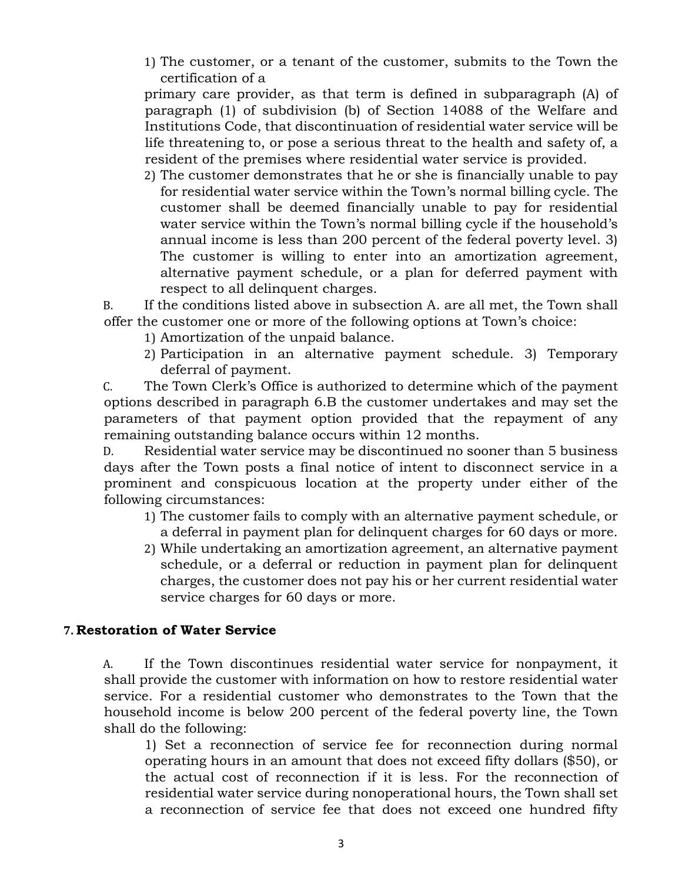1) The customer, or a tenant of the customer, submits to the Town the certification of a

primary care provider, as that term is defined in subparagraph (A) of paragraph (1) of subdivision (b) of Section 14088 of the Welfare and Institutions Code, that discontinuation of residential water service will be life threatening to, or pose a serious threat to the health and safety of, a resident of the premises where residential water service is provided.

2) The customer demonstrates that he or she is financially unable to pay for residential water service within the Town's normal billing cycle. The customer shall be deemed financially unable to pay for residential water service within the Town's normal billing cycle if the household's annual income is less than 200 percent of the federal poverty level. 3) The customer is willing to enter into an amortization agreement, alternative payment schedule, or a plan for deferred payment with respect to all delinquent charges.

B. If the conditions listed above in subsection A. are all met, the Town shall offer the customer one or more of the following options at Town's choice:

- 1) Amortization of the unpaid balance.
- 2) Participation in an alternative payment schedule. 3) Temporary deferral of payment.

C. The Town Clerk's Office is authorized to determine which of the payment options described in paragraph 6.B the customer undertakes and may set the parameters of that payment option provided that the repayment of any remaining outstanding balance occurs within 12 months.

D. Residential water service may be discontinued no sooner than 5 business days after the Town posts a final notice of intent to disconnect service in a prominent and conspicuous location at the property under either of the following circumstances:

- 1) The customer fails to comply with an alternative payment schedule, or a deferral in payment plan for delinquent charges for 60 days or more.
- 2) While undertaking an amortization agreement, an alternative payment schedule, or a deferral or reduction in payment plan for delinquent charges, the customer does not pay his or her current residential water service charges for 60 days or more.

#### **7. Restoration of Water Service**

A. If the Town discontinues residential water service for nonpayment, it shall provide the customer with information on how to restore residential water service. For a residential customer who demonstrates to the Town that the household income is below 200 percent of the federal poverty line, the Town shall do the following:

1) Set a reconnection of service fee for reconnection during normal operating hours in an amount that does not exceed fifty dollars (\$50), or the actual cost of reconnection if it is less. For the reconnection of residential water service during nonoperational hours, the Town shall set a reconnection of service fee that does not exceed one hundred fifty